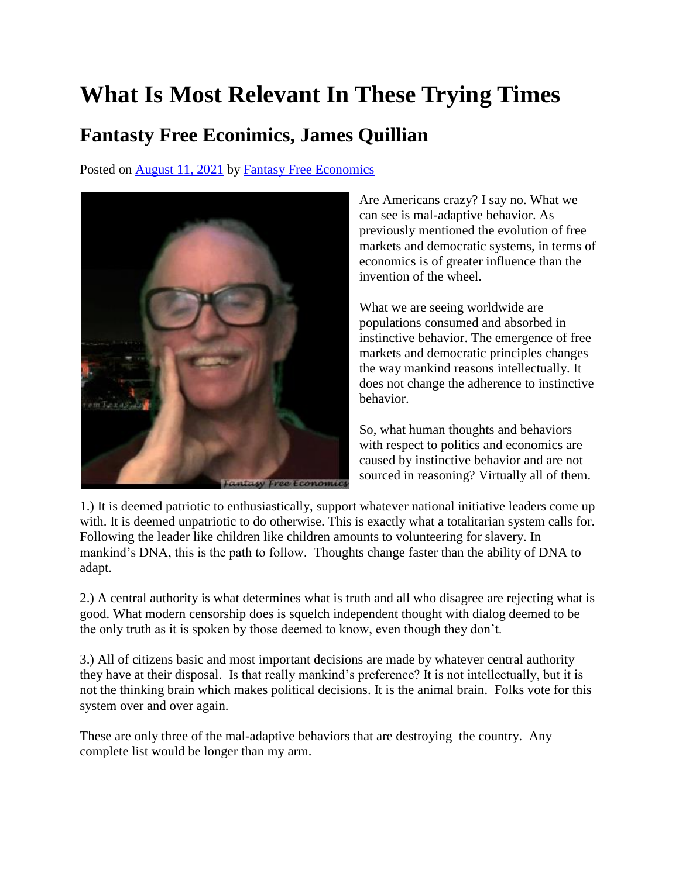## **What Is Most Relevant In These Trying Times**

## **Fantasty Free Econimics, James Quillian**

Posted on [August 11, 2021](http://quillian.net/blog/?p=7662) by [Fantasy Free Economics](http://quillian.net/blog/author/james-quillian/)



Are Americans crazy? I say no. What we can see is mal-adaptive behavior. As previously mentioned the evolution of free markets and democratic systems, in terms of economics is of greater influence than the invention of the wheel.

What we are seeing worldwide are populations consumed and absorbed in instinctive behavior. The emergence of free markets and democratic principles changes the way mankind reasons intellectually. It does not change the adherence to instinctive behavior.

So, what human thoughts and behaviors with respect to politics and economics are caused by instinctive behavior and are not sourced in reasoning? Virtually all of them.

1.) It is deemed patriotic to enthusiastically, support whatever national initiative leaders come up with. It is deemed unpatriotic to do otherwise. This is exactly what a totalitarian system calls for. Following the leader like children like children amounts to volunteering for slavery. In mankind's DNA, this is the path to follow. Thoughts change faster than the ability of DNA to adapt.

2.) A central authority is what determines what is truth and all who disagree are rejecting what is good. What modern censorship does is squelch independent thought with dialog deemed to be the only truth as it is spoken by those deemed to know, even though they don't.

3.) All of citizens basic and most important decisions are made by whatever central authority they have at their disposal. Is that really mankind's preference? It is not intellectually, but it is not the thinking brain which makes political decisions. It is the animal brain. Folks vote for this system over and over again.

These are only three of the mal-adaptive behaviors that are destroying the country. Any complete list would be longer than my arm.